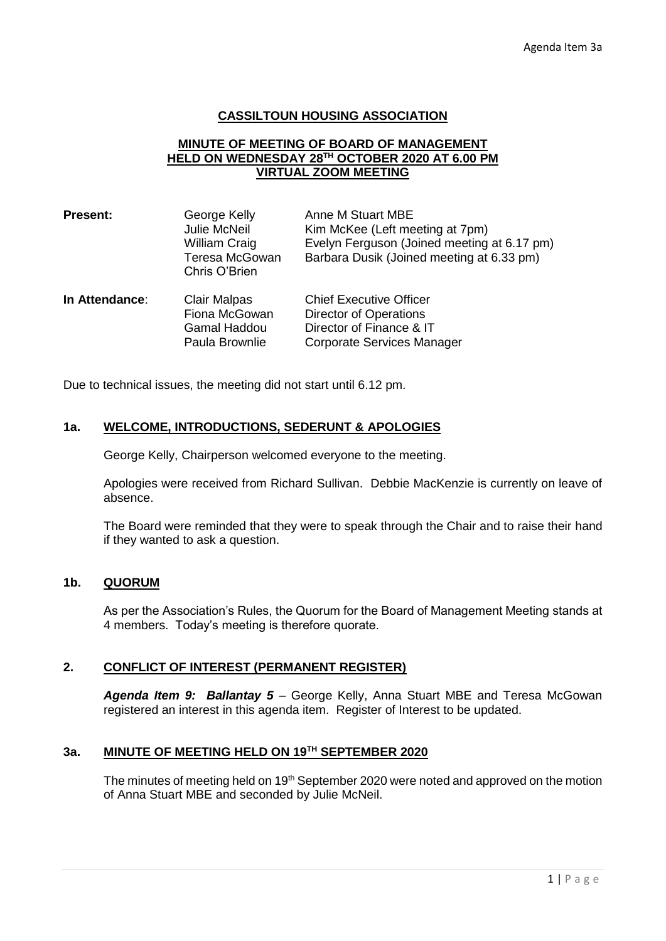## **CASSILTOUN HOUSING ASSOCIATION**

## **MINUTE OF MEETING OF BOARD OF MANAGEMENT HELD ON WEDNESDAY 28TH OCTOBER 2020 AT 6.00 PM VIRTUAL ZOOM MEETING**

| <b>Present:</b> | George Kelly<br><b>Julie McNeil</b><br>William Craig<br>Teresa McGowan<br>Chris O'Brien | Anne M Stuart MBE<br>Kim McKee (Left meeting at 7pm)<br>Evelyn Ferguson (Joined meeting at 6.17 pm)<br>Barbara Dusik (Joined meeting at 6.33 pm) |
|-----------------|-----------------------------------------------------------------------------------------|--------------------------------------------------------------------------------------------------------------------------------------------------|
| In Attendance:  | <b>Clair Malpas</b><br>Fiona McGowan<br><b>Gamal Haddou</b><br>Paula Brownlie           | <b>Chief Executive Officer</b><br><b>Director of Operations</b><br>Director of Finance & IT<br><b>Corporate Services Manager</b>                 |

Due to technical issues, the meeting did not start until 6.12 pm.

## **1a. WELCOME, INTRODUCTIONS, SEDERUNT & APOLOGIES**

George Kelly, Chairperson welcomed everyone to the meeting.

Apologies were received from Richard Sullivan. Debbie MacKenzie is currently on leave of absence.

The Board were reminded that they were to speak through the Chair and to raise their hand if they wanted to ask a question.

# **1b. QUORUM**

As per the Association's Rules, the Quorum for the Board of Management Meeting stands at 4 members. Today's meeting is therefore quorate.

# **2. CONFLICT OF INTEREST (PERMANENT REGISTER)**

*Agenda Item 9: Ballantay 5* – George Kelly, Anna Stuart MBE and Teresa McGowan registered an interest in this agenda item. Register of Interest to be updated.

## **3a. MINUTE OF MEETING HELD ON 19TH SEPTEMBER 2020**

The minutes of meeting held on 19<sup>th</sup> September 2020 were noted and approved on the motion of Anna Stuart MBE and seconded by Julie McNeil.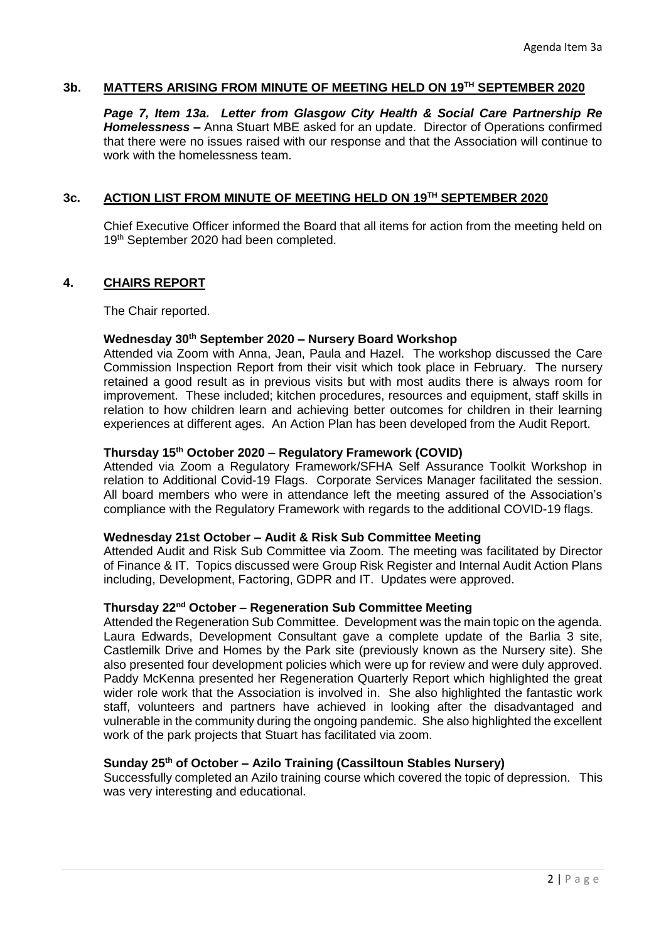# **3b. MATTERS ARISING FROM MINUTE OF MEETING HELD ON 19TH SEPTEMBER 2020**

*Page 7, Item 13a. Letter from Glasgow City Health & Social Care Partnership Re Homelessness –* Anna Stuart MBE asked for an update. Director of Operations confirmed that there were no issues raised with our response and that the Association will continue to work with the homelessness team.

## **3c. ACTION LIST FROM MINUTE OF MEETING HELD ON 19TH SEPTEMBER 2020**

Chief Executive Officer informed the Board that all items for action from the meeting held on 19<sup>th</sup> September 2020 had been completed.

#### **4. CHAIRS REPORT**

The Chair reported.

#### **Wednesday 30th September 2020 – Nursery Board Workshop**

Attended via Zoom with Anna, Jean, Paula and Hazel. The workshop discussed the Care Commission Inspection Report from their visit which took place in February. The nursery retained a good result as in previous visits but with most audits there is always room for improvement. These included; kitchen procedures, resources and equipment, staff skills in relation to how children learn and achieving better outcomes for children in their learning experiences at different ages. An Action Plan has been developed from the Audit Report.

#### **Thursday 15th October 2020 – Regulatory Framework (COVID)**

Attended via Zoom a Regulatory Framework/SFHA Self Assurance Toolkit Workshop in relation to Additional Covid-19 Flags. Corporate Services Manager facilitated the session. All board members who were in attendance left the meeting assured of the Association's compliance with the Regulatory Framework with regards to the additional COVID-19 flags.

#### **Wednesday 21st October – Audit & Risk Sub Committee Meeting**

Attended Audit and Risk Sub Committee via Zoom. The meeting was facilitated by Director of Finance & IT. Topics discussed were Group Risk Register and Internal Audit Action Plans including, Development, Factoring, GDPR and IT. Updates were approved.

## **Thursday 22nd October – Regeneration Sub Committee Meeting**

Attended the Regeneration Sub Committee. Development was the main topic on the agenda. Laura Edwards, Development Consultant gave a complete update of the Barlia 3 site, Castlemilk Drive and Homes by the Park site (previously known as the Nursery site). She also presented four development policies which were up for review and were duly approved. Paddy McKenna presented her Regeneration Quarterly Report which highlighted the great wider role work that the Association is involved in. She also highlighted the fantastic work staff, volunteers and partners have achieved in looking after the disadvantaged and vulnerable in the community during the ongoing pandemic. She also highlighted the excellent work of the park projects that Stuart has facilitated via zoom.

#### **Sunday 25th of October – Azilo Training (Cassiltoun Stables Nursery)**

Successfully completed an Azilo training course which covered the topic of depression. This was very interesting and educational.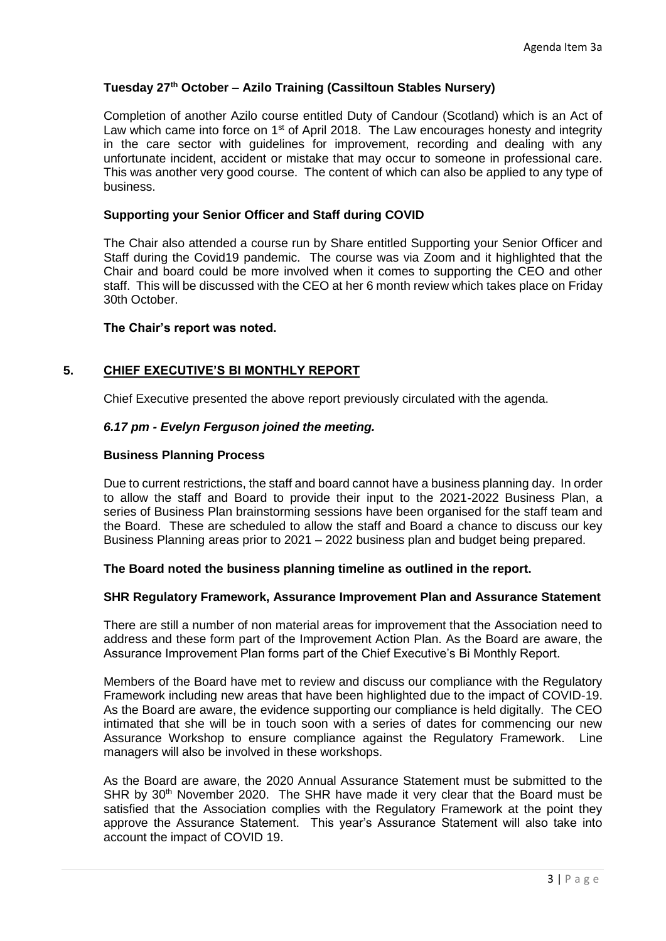## **Tuesday 27th October – Azilo Training (Cassiltoun Stables Nursery)**

Completion of another Azilo course entitled Duty of Candour (Scotland) which is an Act of Law which came into force on 1<sup>st</sup> of April 2018. The Law encourages honesty and integrity in the care sector with guidelines for improvement, recording and dealing with any unfortunate incident, accident or mistake that may occur to someone in professional care. This was another very good course. The content of which can also be applied to any type of business.

## **Supporting your Senior Officer and Staff during COVID**

The Chair also attended a course run by Share entitled Supporting your Senior Officer and Staff during the Covid19 pandemic. The course was via Zoom and it highlighted that the Chair and board could be more involved when it comes to supporting the CEO and other staff. This will be discussed with the CEO at her 6 month review which takes place on Friday 30th October.

#### **The Chair's report was noted.**

## **5. CHIEF EXECUTIVE'S BI MONTHLY REPORT**

Chief Executive presented the above report previously circulated with the agenda.

## *6.17 pm - Evelyn Ferguson joined the meeting.*

#### **Business Planning Process**

Due to current restrictions, the staff and board cannot have a business planning day. In order to allow the staff and Board to provide their input to the 2021-2022 Business Plan, a series of Business Plan brainstorming sessions have been organised for the staff team and the Board. These are scheduled to allow the staff and Board a chance to discuss our key Business Planning areas prior to 2021 – 2022 business plan and budget being prepared.

#### **The Board noted the business planning timeline as outlined in the report.**

#### **SHR Regulatory Framework, Assurance Improvement Plan and Assurance Statement**

There are still a number of non material areas for improvement that the Association need to address and these form part of the Improvement Action Plan. As the Board are aware, the Assurance Improvement Plan forms part of the Chief Executive's Bi Monthly Report.

Members of the Board have met to review and discuss our compliance with the Regulatory Framework including new areas that have been highlighted due to the impact of COVID-19. As the Board are aware, the evidence supporting our compliance is held digitally. The CEO intimated that she will be in touch soon with a series of dates for commencing our new Assurance Workshop to ensure compliance against the Regulatory Framework. Line managers will also be involved in these workshops.

As the Board are aware, the 2020 Annual Assurance Statement must be submitted to the SHR by 30<sup>th</sup> November 2020. The SHR have made it very clear that the Board must be satisfied that the Association complies with the Regulatory Framework at the point they approve the Assurance Statement. This year's Assurance Statement will also take into account the impact of COVID 19.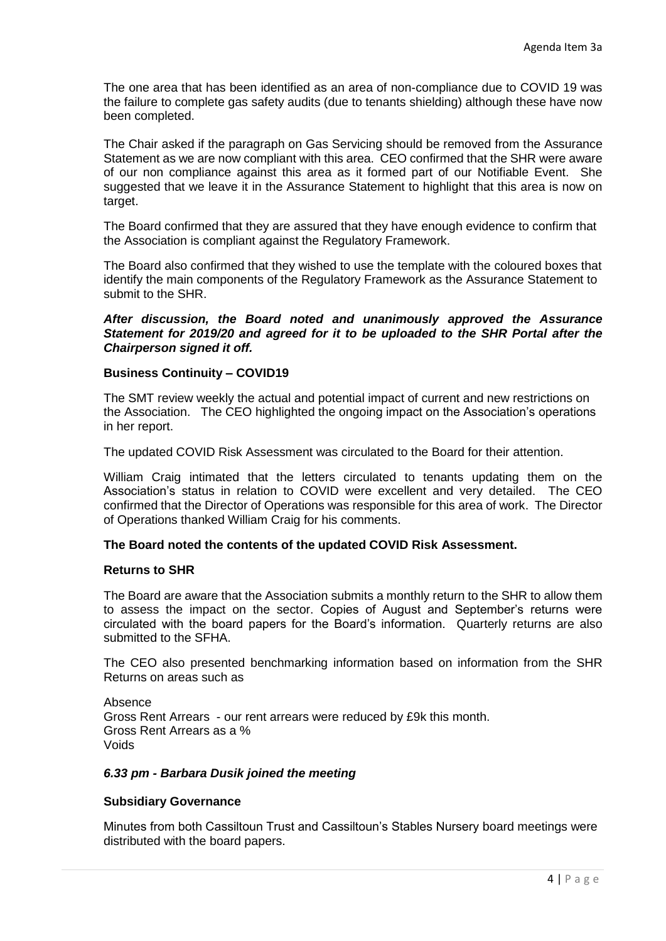The one area that has been identified as an area of non-compliance due to COVID 19 was the failure to complete gas safety audits (due to tenants shielding) although these have now been completed.

The Chair asked if the paragraph on Gas Servicing should be removed from the Assurance Statement as we are now compliant with this area. CEO confirmed that the SHR were aware of our non compliance against this area as it formed part of our Notifiable Event. She suggested that we leave it in the Assurance Statement to highlight that this area is now on target.

The Board confirmed that they are assured that they have enough evidence to confirm that the Association is compliant against the Regulatory Framework.

The Board also confirmed that they wished to use the template with the coloured boxes that identify the main components of the Regulatory Framework as the Assurance Statement to submit to the SHR.

*After discussion, the Board noted and unanimously approved the Assurance Statement for 2019/20 and agreed for it to be uploaded to the SHR Portal after the Chairperson signed it off.*

#### **Business Continuity – COVID19**

The SMT review weekly the actual and potential impact of current and new restrictions on the Association. The CEO highlighted the ongoing impact on the Association's operations in her report.

The updated COVID Risk Assessment was circulated to the Board for their attention.

William Craig intimated that the letters circulated to tenants updating them on the Association's status in relation to COVID were excellent and very detailed. The CEO confirmed that the Director of Operations was responsible for this area of work. The Director of Operations thanked William Craig for his comments.

#### **The Board noted the contents of the updated COVID Risk Assessment.**

#### **Returns to SHR**

The Board are aware that the Association submits a monthly return to the SHR to allow them to assess the impact on the sector. Copies of August and September's returns were circulated with the board papers for the Board's information. Quarterly returns are also submitted to the SFHA.

The CEO also presented benchmarking information based on information from the SHR Returns on areas such as

Absence Gross Rent Arrears - our rent arrears were reduced by £9k this month. Gross Rent Arrears as a % Voids

#### *6.33 pm - Barbara Dusik joined the meeting*

#### **Subsidiary Governance**

Minutes from both Cassiltoun Trust and Cassiltoun's Stables Nursery board meetings were distributed with the board papers.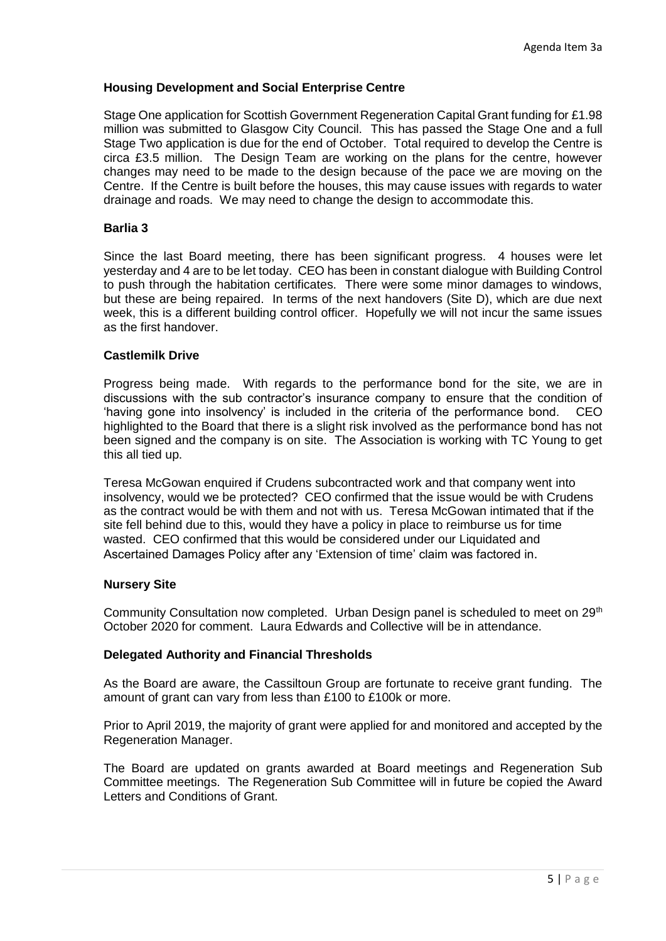## **Housing Development and Social Enterprise Centre**

Stage One application for Scottish Government Regeneration Capital Grant funding for £1.98 million was submitted to Glasgow City Council. This has passed the Stage One and a full Stage Two application is due for the end of October. Total required to develop the Centre is circa £3.5 million. The Design Team are working on the plans for the centre, however changes may need to be made to the design because of the pace we are moving on the Centre. If the Centre is built before the houses, this may cause issues with regards to water drainage and roads. We may need to change the design to accommodate this.

### **Barlia 3**

Since the last Board meeting, there has been significant progress. 4 houses were let yesterday and 4 are to be let today. CEO has been in constant dialogue with Building Control to push through the habitation certificates. There were some minor damages to windows, but these are being repaired. In terms of the next handovers (Site D), which are due next week, this is a different building control officer. Hopefully we will not incur the same issues as the first handover.

#### **Castlemilk Drive**

Progress being made. With regards to the performance bond for the site, we are in discussions with the sub contractor's insurance company to ensure that the condition of 'having gone into insolvency' is included in the criteria of the performance bond. CEO highlighted to the Board that there is a slight risk involved as the performance bond has not been signed and the company is on site. The Association is working with TC Young to get this all tied up.

Teresa McGowan enquired if Crudens subcontracted work and that company went into insolvency, would we be protected? CEO confirmed that the issue would be with Crudens as the contract would be with them and not with us. Teresa McGowan intimated that if the site fell behind due to this, would they have a policy in place to reimburse us for time wasted. CEO confirmed that this would be considered under our Liquidated and Ascertained Damages Policy after any 'Extension of time' claim was factored in.

#### **Nursery Site**

Community Consultation now completed. Urban Design panel is scheduled to meet on 29<sup>th</sup> October 2020 for comment. Laura Edwards and Collective will be in attendance.

#### **Delegated Authority and Financial Thresholds**

As the Board are aware, the Cassiltoun Group are fortunate to receive grant funding. The amount of grant can vary from less than £100 to £100k or more.

Prior to April 2019, the majority of grant were applied for and monitored and accepted by the Regeneration Manager.

The Board are updated on grants awarded at Board meetings and Regeneration Sub Committee meetings. The Regeneration Sub Committee will in future be copied the Award Letters and Conditions of Grant.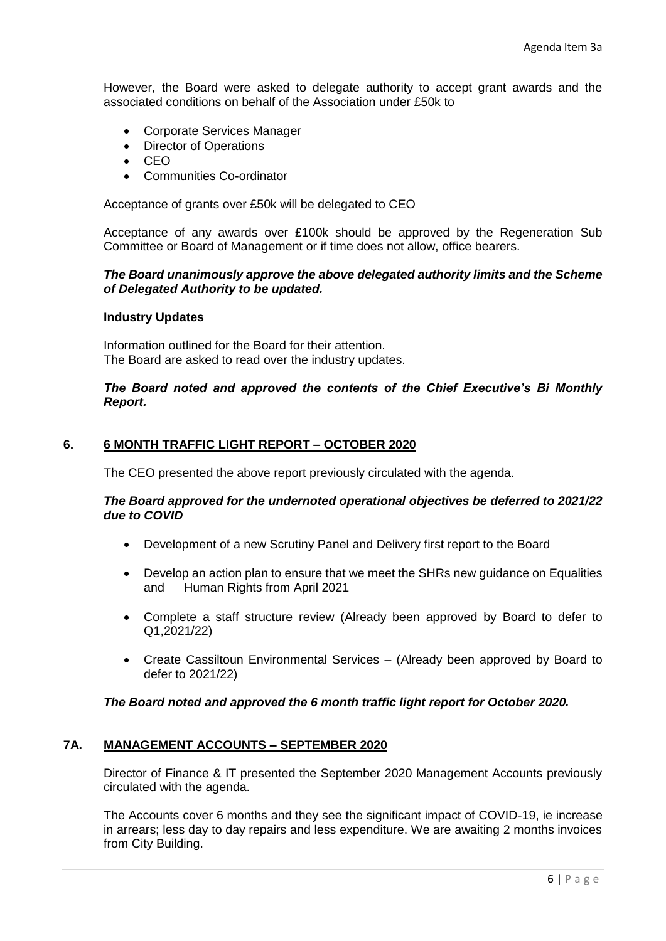However, the Board were asked to delegate authority to accept grant awards and the associated conditions on behalf of the Association under £50k to

- Corporate Services Manager
- Director of Operations
- CEO
- Communities Co-ordinator

Acceptance of grants over £50k will be delegated to CEO

Acceptance of any awards over £100k should be approved by the Regeneration Sub Committee or Board of Management or if time does not allow, office bearers.

## *The Board unanimously approve the above delegated authority limits and the Scheme of Delegated Authority to be updated.*

#### **Industry Updates**

Information outlined for the Board for their attention. The Board are asked to read over the industry updates.

## *The Board noted and approved the contents of the Chief Executive's Bi Monthly Report.*

## **6. 6 MONTH TRAFFIC LIGHT REPORT – OCTOBER 2020**

The CEO presented the above report previously circulated with the agenda.

#### *The Board approved for the undernoted operational objectives be deferred to 2021/22 due to COVID*

- Development of a new Scrutiny Panel and Delivery first report to the Board
- Develop an action plan to ensure that we meet the SHRs new quidance on Equalities and Human Rights from April 2021
- Complete a staff structure review (Already been approved by Board to defer to Q1,2021/22)
- Create Cassiltoun Environmental Services (Already been approved by Board to defer to 2021/22)

#### *The Board noted and approved the 6 month traffic light report for October 2020.*

#### **7A. MANAGEMENT ACCOUNTS – SEPTEMBER 2020**

Director of Finance & IT presented the September 2020 Management Accounts previously circulated with the agenda.

The Accounts cover 6 months and they see the significant impact of COVID-19, ie increase in arrears; less day to day repairs and less expenditure. We are awaiting 2 months invoices from City Building.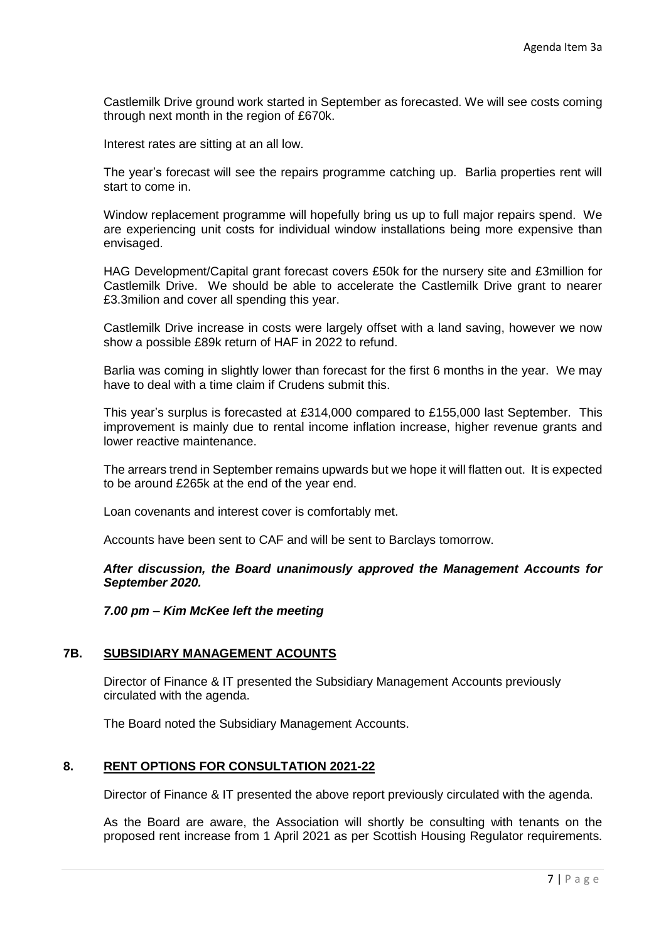Castlemilk Drive ground work started in September as forecasted. We will see costs coming through next month in the region of £670k.

Interest rates are sitting at an all low.

The year's forecast will see the repairs programme catching up. Barlia properties rent will start to come in.

Window replacement programme will hopefully bring us up to full major repairs spend. We are experiencing unit costs for individual window installations being more expensive than envisaged.

HAG Development/Capital grant forecast covers £50k for the nursery site and £3million for Castlemilk Drive. We should be able to accelerate the Castlemilk Drive grant to nearer £3.3milion and cover all spending this year.

Castlemilk Drive increase in costs were largely offset with a land saving, however we now show a possible £89k return of HAF in 2022 to refund.

Barlia was coming in slightly lower than forecast for the first 6 months in the year. We may have to deal with a time claim if Crudens submit this.

This year's surplus is forecasted at £314,000 compared to £155,000 last September. This improvement is mainly due to rental income inflation increase, higher revenue grants and lower reactive maintenance.

The arrears trend in September remains upwards but we hope it will flatten out. It is expected to be around £265k at the end of the year end.

Loan covenants and interest cover is comfortably met.

Accounts have been sent to CAF and will be sent to Barclays tomorrow.

*After discussion, the Board unanimously approved the Management Accounts for September 2020.*

*7.00 pm – Kim McKee left the meeting*

## **7B. SUBSIDIARY MANAGEMENT ACOUNTS**

Director of Finance & IT presented the Subsidiary Management Accounts previously circulated with the agenda.

The Board noted the Subsidiary Management Accounts.

#### **8. RENT OPTIONS FOR CONSULTATION 2021-22**

Director of Finance & IT presented the above report previously circulated with the agenda.

As the Board are aware, the Association will shortly be consulting with tenants on the proposed rent increase from 1 April 2021 as per Scottish Housing Regulator requirements.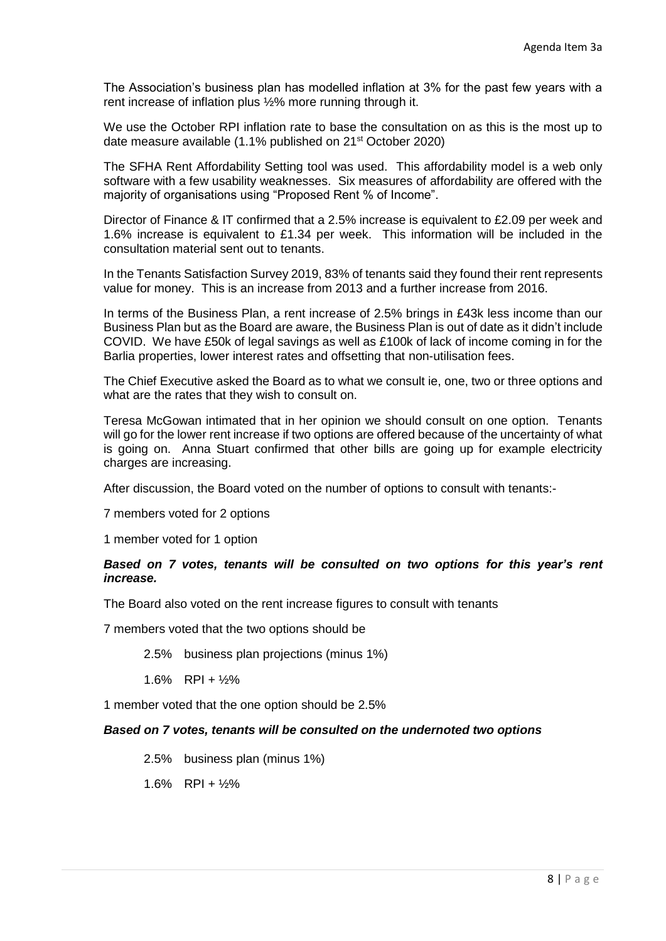The Association's business plan has modelled inflation at 3% for the past few years with a rent increase of inflation plus ½% more running through it.

We use the October RPI inflation rate to base the consultation on as this is the most up to date measure available (1.1% published on 21<sup>st</sup> October 2020)

The SFHA Rent Affordability Setting tool was used. This affordability model is a web only software with a few usability weaknesses. Six measures of affordability are offered with the majority of organisations using "Proposed Rent % of Income".

Director of Finance & IT confirmed that a 2.5% increase is equivalent to £2.09 per week and 1.6% increase is equivalent to £1.34 per week. This information will be included in the consultation material sent out to tenants.

In the Tenants Satisfaction Survey 2019, 83% of tenants said they found their rent represents value for money. This is an increase from 2013 and a further increase from 2016.

In terms of the Business Plan, a rent increase of 2.5% brings in £43k less income than our Business Plan but as the Board are aware, the Business Plan is out of date as it didn't include COVID. We have £50k of legal savings as well as £100k of lack of income coming in for the Barlia properties, lower interest rates and offsetting that non-utilisation fees.

The Chief Executive asked the Board as to what we consult ie, one, two or three options and what are the rates that they wish to consult on.

Teresa McGowan intimated that in her opinion we should consult on one option. Tenants will go for the lower rent increase if two options are offered because of the uncertainty of what is going on. Anna Stuart confirmed that other bills are going up for example electricity charges are increasing.

After discussion, the Board voted on the number of options to consult with tenants:-

7 members voted for 2 options

1 member voted for 1 option

#### *Based on 7 votes, tenants will be consulted on two options for this year's rent increase.*

The Board also voted on the rent increase figures to consult with tenants

7 members voted that the two options should be

2.5% business plan projections (minus 1%)

1.6% RPI + ½%

1 member voted that the one option should be 2.5%

#### *Based on 7 votes, tenants will be consulted on the undernoted two options*

2.5% business plan (minus 1%)

 $1.6\%$  RPI +  $\frac{1}{2}\%$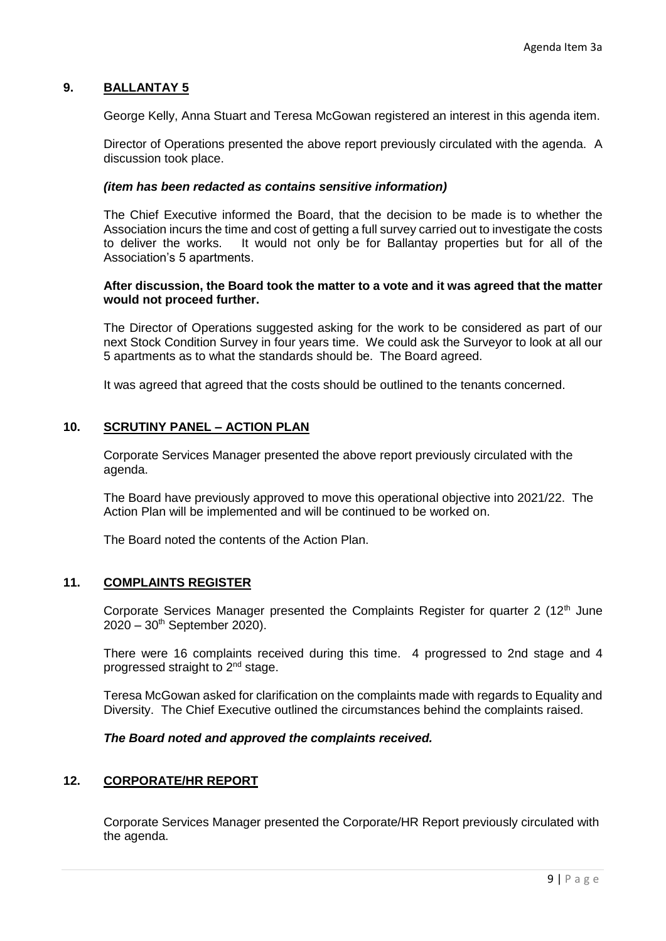## **9. BALLANTAY 5**

George Kelly, Anna Stuart and Teresa McGowan registered an interest in this agenda item.

Director of Operations presented the above report previously circulated with the agenda. A discussion took place.

#### *(item has been redacted as contains sensitive information)*

The Chief Executive informed the Board, that the decision to be made is to whether the Association incurs the time and cost of getting a full survey carried out to investigate the costs to deliver the works. It would not only be for Ballantay properties but for all of the Association's 5 apartments.

#### **After discussion, the Board took the matter to a vote and it was agreed that the matter would not proceed further.**

The Director of Operations suggested asking for the work to be considered as part of our next Stock Condition Survey in four years time. We could ask the Surveyor to look at all our 5 apartments as to what the standards should be. The Board agreed.

It was agreed that agreed that the costs should be outlined to the tenants concerned.

#### **10. SCRUTINY PANEL – ACTION PLAN**

Corporate Services Manager presented the above report previously circulated with the agenda.

The Board have previously approved to move this operational objective into 2021/22. The Action Plan will be implemented and will be continued to be worked on.

The Board noted the contents of the Action Plan.

## **11. COMPLAINTS REGISTER**

Corporate Services Manager presented the Complaints Register for quarter 2  $(12<sup>th</sup>)$  June  $2020 - 30$ <sup>th</sup> September 2020).

There were 16 complaints received during this time. 4 progressed to 2nd stage and 4 progressed straight to 2nd stage.

Teresa McGowan asked for clarification on the complaints made with regards to Equality and Diversity. The Chief Executive outlined the circumstances behind the complaints raised.

#### *The Board noted and approved the complaints received.*

#### **12. CORPORATE/HR REPORT**

Corporate Services Manager presented the Corporate/HR Report previously circulated with the agenda.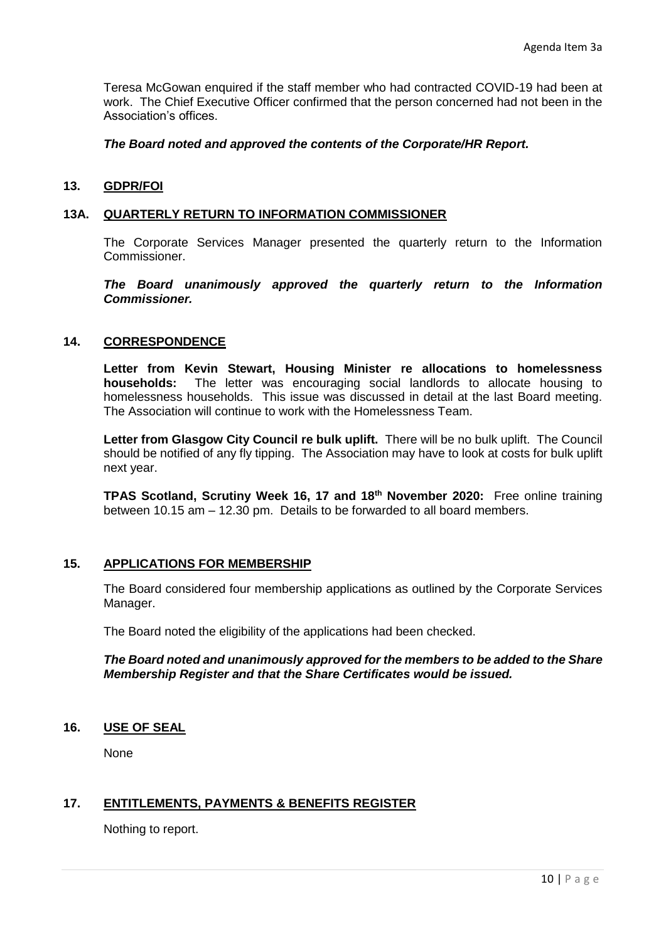Teresa McGowan enquired if the staff member who had contracted COVID-19 had been at work. The Chief Executive Officer confirmed that the person concerned had not been in the Association's offices.

## *The Board noted and approved the contents of the Corporate/HR Report.*

## **13. GDPR/FOI**

## **13A. QUARTERLY RETURN TO INFORMATION COMMISSIONER**

The Corporate Services Manager presented the quarterly return to the Information Commissioner.

*The Board unanimously approved the quarterly return to the Information Commissioner.*

## **14. CORRESPONDENCE**

**Letter from Kevin Stewart, Housing Minister re allocations to homelessness households:** The letter was encouraging social landlords to allocate housing to homelessness households. This issue was discussed in detail at the last Board meeting. The Association will continue to work with the Homelessness Team.

**Letter from Glasgow City Council re bulk uplift.** There will be no bulk uplift. The Council should be notified of any fly tipping. The Association may have to look at costs for bulk uplift next year.

**TPAS Scotland, Scrutiny Week 16, 17 and 18th November 2020:** Free online training between 10.15 am – 12.30 pm. Details to be forwarded to all board members.

## **15. APPLICATIONS FOR MEMBERSHIP**

The Board considered four membership applications as outlined by the Corporate Services Manager.

The Board noted the eligibility of the applications had been checked.

*The Board noted and unanimously approved for the members to be added to the Share Membership Register and that the Share Certificates would be issued.*

## **16. USE OF SEAL**

None

## **17. ENTITLEMENTS, PAYMENTS & BENEFITS REGISTER**

Nothing to report.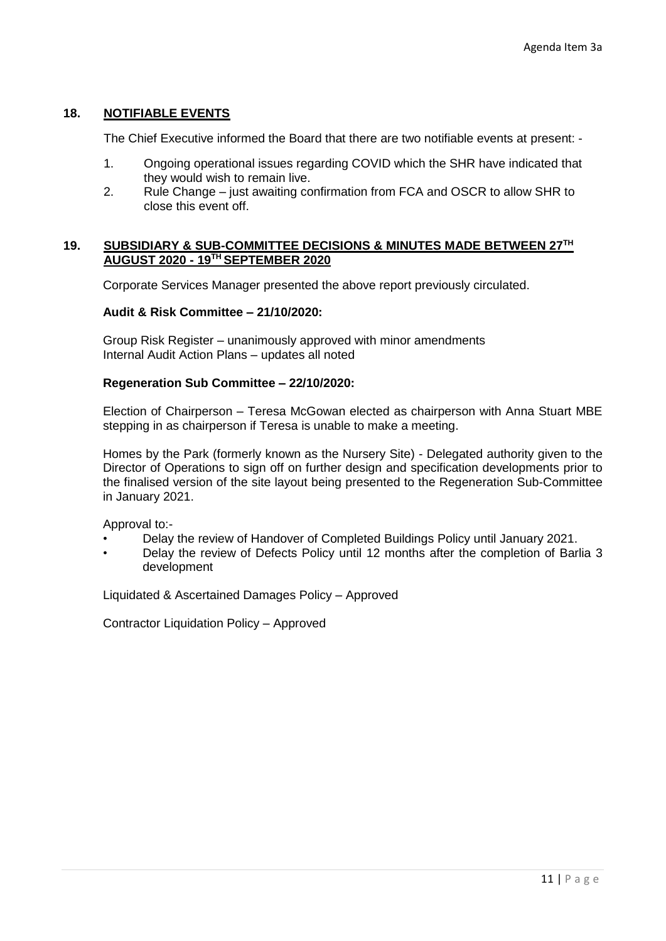# **18. NOTIFIABLE EVENTS**

The Chief Executive informed the Board that there are two notifiable events at present: -

- 1. Ongoing operational issues regarding COVID which the SHR have indicated that they would wish to remain live.
- 2. Rule Change just awaiting confirmation from FCA and OSCR to allow SHR to close this event off.

## **19. SUBSIDIARY & SUB-COMMITTEE DECISIONS & MINUTES MADE BETWEEN 27TH AUGUST 2020 - 19TH SEPTEMBER 2020**

Corporate Services Manager presented the above report previously circulated.

## **Audit & Risk Committee – 21/10/2020:**

Group Risk Register – unanimously approved with minor amendments Internal Audit Action Plans – updates all noted

#### **Regeneration Sub Committee – 22/10/2020:**

Election of Chairperson – Teresa McGowan elected as chairperson with Anna Stuart MBE stepping in as chairperson if Teresa is unable to make a meeting.

Homes by the Park (formerly known as the Nursery Site) - Delegated authority given to the Director of Operations to sign off on further design and specification developments prior to the finalised version of the site layout being presented to the Regeneration Sub-Committee in January 2021.

Approval to:-

- Delay the review of Handover of Completed Buildings Policy until January 2021.
- Delay the review of Defects Policy until 12 months after the completion of Barlia 3 development

Liquidated & Ascertained Damages Policy – Approved

Contractor Liquidation Policy – Approved